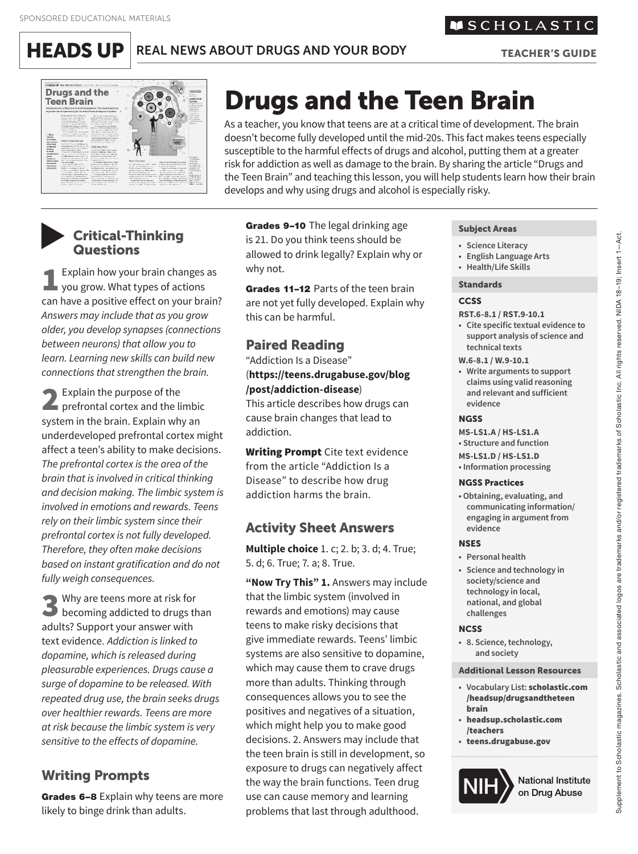$HEADS UP$  REAL NEWS ABOUT DRUGS AND YOUR BODY TEACHER'S GUIDE

# **Drugs and the Teen Brain**  $\odot$  $\begin{array}{l} \text{Nikin}_4\\ \text{Sikin}_5\\ \text{in} \text{Fokot}_6\\ \text{in} \text{Fokot}_6\\ \text{in} \text{Fokot}_6\\ \text{in} \text{Fokot}_6\\ \text{in} \text{Fokot}_6\\ \text{in} \text{Fokot}_6\\ \text{in} \text{Fokot}_6\\ \text{in} \text{Fokot}_6\\ \text{in} \text{Fokot}_6\\ \text{in} \text{Fokot}_6\\ \text{in} \text{Fokot}_6\\ \text{in} \text{Fokot}_6\\ \text{in} \text{Fokot}_6\\ \text{in} \text{Fokot}_6$

# Drugs and the Teen Brain

As a teacher, you know that teens are at a critical time of development. The brain doesn't become fully developed until the mid-20s. This fact makes teens especially susceptible to the harmful effects of drugs and alcohol, putting them at a greater risk for addiction as well as damage to the brain. By sharing the article "Drugs and the Teen Brain" and teaching this lesson, you will help students learn how their brain develops and why using drugs and alcohol is especially risky.

# ▼

1Explain how your brain changes as you grow. What types of actions can have a positive effect on your brain? *Answers may include that as you grow older, you develop synapses (connections between neurons) that allow you to learn. Learning new skills can build new connections that strengthen the brain.* 

2 Explain the purpose of the prefrontal cortex and the limbic system in the brain. Explain why an underdeveloped prefrontal cortex might affect a teen's ability to make decisions. *The prefrontal cortex is the area of the brain that is involved in critical thinking and decision making. The limbic system is involved in emotions and rewards. Teens rely on their limbic system since their prefrontal cortex is not fully developed. Therefore, they often make decisions based on instant gratification and do not fully weigh consequences.* 

S Why are teens more at risk for<br>becoming addicted to drugs than adults? Support your answer with text evidence. *Addiction is linked to dopamine, which is released during pleasurable experiences. Drugs cause a surge of dopamine to be released. With repeated drug use, the brain seeks drugs over healthier rewards. Teens are more at risk because the limbic system is very sensitive to the effects of dopamine.* 

# Writing Prompts

Grades 6-8 Explain why teens are more likely to binge drink than adults.

Grades 9–10 The legal drinking age Subject Areas<br>
Gritical-Thinking is 21. Do you think teens should be **•** Science Literacy **•** Science Literacy allowed to drink legally? Explain why or **•** English Language Arts **Question** why not. **• Health/Life Skills** 

> Grades 11-12 Parts of the teen brain Standards are not yet fully developed. Explain why this can be harmful.

# Paired Reading

"Addiction Is a Disease" (**https://teens.drugabuse.gov/blog /post/addiction-disease**)

This article describes how drugs can cause brain changes that lead to addiction.

**Writing Prompt** Cite text evidence from the article "Addiction Is a Disease" to describe how drug addiction harms the brain.

# Activity Sheet Answers

**Multiple choice** 1. c; 2. b; 3. d; 4. True; 5. d; 6. True; 7. a; 8. True.

**"Now Try This" 1.** Answers may include that the limbic system (involved in rewards and emotions) may cause teens to make risky decisions that give immediate rewards. Teens' limbic systems are also sensitive to dopamine, which may cause them to crave drugs more than adults. Thinking through consequences allows you to see the positives and negatives of a situation, which might help you to make good decisions. 2. Answers may include that the teen brain is still in development, so exposure to drugs can negatively affect the way the brain functions. Teen drug use can cause memory and learning problems that last through adulthood.

- 
- **English Language Arts**
- 

#### **CCSS**

- **RST.6-8.1 / RST.9-10.1**
- **Cite specific tex tual evidence to**  support analysis of science and **technical texts**
- **W.6 -8.1 / W.9 -10.1**
- Write arguments to support **claims using valid reasoning and relevant and sufficient evidence**

#### **NGSS**

**MS-LS1.A / HS-LS1.A • Structure and function** 

- **MS-LS1.D / HS -LS1.D**
- **Information processing**

#### NGSS Practices

 **• Obtaining, evaluating, and communicating information/ engaging in argument from evidence** 

#### **NSES**

- **• Personal health**
- Science and technology in **society/science and**  technology in local, **national, and global challenges**

#### **NCSS**

 **• 8. Science, technolog y, and society** 

#### Additional Lesson Resources

- **• Vocabulary List:** scholastic.com /headsup/drugsandtheteen<br>brain
- **•** headsup.scholastic.com /teachers
- **•** teens.drugabuse.gov